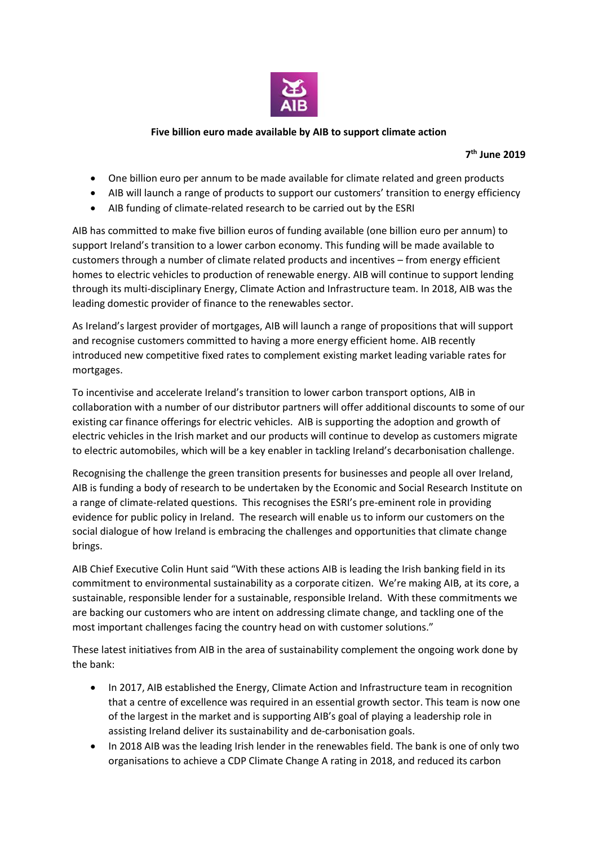

## **Five billion euro made available by AIB to support climate action**

# **7 th June 2019**

- One billion euro per annum to be made available for climate related and green products
- AIB will launch a range of products to support our customers' transition to energy efficiency
- AIB funding of climate-related research to be carried out by the ESRI

AIB has committed to make five billion euros of funding available (one billion euro per annum) to support Ireland's transition to a lower carbon economy. This funding will be made available to customers through a number of climate related products and incentives – from energy efficient homes to electric vehicles to production of renewable energy. AIB will continue to support lending through its multi-disciplinary Energy, Climate Action and Infrastructure team. In 2018, AIB was the leading domestic provider of finance to the renewables sector.

As Ireland's largest provider of mortgages, AIB will launch a range of propositions that will support and recognise customers committed to having a more energy efficient home. AIB recently introduced new competitive fixed rates to complement existing market leading variable rates for mortgages.

To incentivise and accelerate Ireland's transition to lower carbon transport options, AIB in collaboration with a number of our distributor partners will offer additional discounts to some of our existing car finance offerings for electric vehicles. AIB is supporting the adoption and growth of electric vehicles in the Irish market and our products will continue to develop as customers migrate to electric automobiles, which will be a key enabler in tackling Ireland's decarbonisation challenge.

Recognising the challenge the green transition presents for businesses and people all over Ireland, AIB is funding a body of research to be undertaken by the Economic and Social Research Institute on a range of climate-related questions. This recognises the ESRI's pre-eminent role in providing evidence for public policy in Ireland. The research will enable us to inform our customers on the social dialogue of how Ireland is embracing the challenges and opportunities that climate change brings.

AIB Chief Executive Colin Hunt said "With these actions AIB is leading the Irish banking field in its commitment to environmental sustainability as a corporate citizen. We're making AIB, at its core, a sustainable, responsible lender for a sustainable, responsible Ireland. With these commitments we are backing our customers who are intent on addressing climate change, and tackling one of the most important challenges facing the country head on with customer solutions."

These latest initiatives from AIB in the area of sustainability complement the ongoing work done by the bank:

- In 2017, AIB established the Energy, Climate Action and Infrastructure team in recognition that a centre of excellence was required in an essential growth sector. This team is now one of the largest in the market and is supporting AIB's goal of playing a leadership role in assisting Ireland deliver its sustainability and de-carbonisation goals.
- In 2018 AIB was the leading Irish lender in the renewables field. The bank is one of only two organisations to achieve a CDP Climate Change A rating in 2018, and reduced its carbon